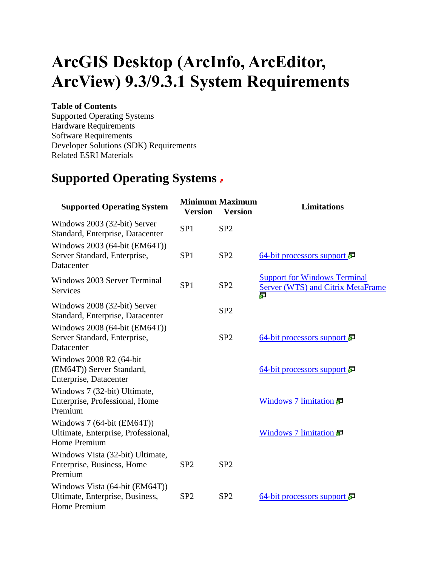# **ArcGIS Desktop (ArcInfo, ArcEditor, ArcView) 9.3/9.3.1 System Requirements**

#### **Table of Contents**

Supported Operating Systems Hardware Requirements Software Requirements Developer Solutions (SDK) Requirements Related ESRI Materials

### **Supported Operating Systems**

| <b>Supported Operating System</b>                                                        | <b>Version</b>  | <b>Minimum Maximum</b><br><b>Version</b> | <b>Limitations</b>                                                                   |
|------------------------------------------------------------------------------------------|-----------------|------------------------------------------|--------------------------------------------------------------------------------------|
| Windows 2003 (32-bit) Server<br>Standard, Enterprise, Datacenter                         | SP <sub>1</sub> | SP <sub>2</sub>                          |                                                                                      |
| Windows 2003 (64-bit (EM64T))<br>Server Standard, Enterprise,<br>Datacenter              | SP <sub>1</sub> | SP <sub>2</sub>                          | <u>64-bit processors support</u>                                                     |
| Windows 2003 Server Terminal<br><b>Services</b>                                          | SP <sub>1</sub> | SP2                                      | <b>Support for Windows Terminal</b><br><b>Server (WTS) and Citrix MetaFrame</b><br>昴 |
| Windows 2008 (32-bit) Server<br>Standard, Enterprise, Datacenter                         |                 | SP <sub>2</sub>                          |                                                                                      |
| Windows 2008 (64-bit (EM64T))<br>Server Standard, Enterprise,<br>Datacenter              |                 | SP <sub>2</sub>                          | 64-bit processors support $\overline{\mathbb{F}}$                                    |
| Windows 2008 R2 (64-bit<br>(EM64T)) Server Standard,<br>Enterprise, Datacenter           |                 |                                          | 64-bit processors support                                                            |
| Windows 7 (32-bit) Ultimate,<br>Enterprise, Professional, Home<br>Premium                |                 |                                          | Windows 7 limitation 显                                                               |
| Windows 7 (64-bit (EM64T))<br>Ultimate, Enterprise, Professional,<br><b>Home Premium</b> |                 |                                          | Windows 7 limitation 显                                                               |
| Windows Vista (32-bit) Ultimate,<br>Enterprise, Business, Home<br>Premium                | SP <sub>2</sub> | SP <sub>2</sub>                          |                                                                                      |
| Windows Vista (64-bit (EM64T))<br>Ultimate, Enterprise, Business,<br>Home Premium        | SP <sub>2</sub> | SP2                                      | 64-bit processors support                                                            |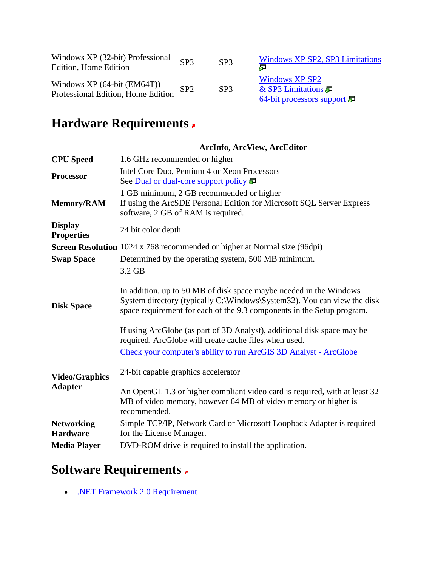| Windows XP (32-bit) Professional<br>Edition, Home Edition          | SP <sub>3</sub> | SP <sub>3</sub> | Windows XP SP2, SP3 Limitations<br>虛                                    |
|--------------------------------------------------------------------|-----------------|-----------------|-------------------------------------------------------------------------|
| Windows $XP(64-bit (EM64T))$<br>Professional Edition, Home Edition | SP <sub>2</sub> | SP <sub>3</sub> | <b>Windows XP SP2</b><br>& SP3 Limitations<br>64-bit processors support |

## **Hardware Requirements**

|                                         | <b>ArcInfo, ArcView, ArcEditor</b>                                                                                                                                                                                                                                                                                                                                                                                               |
|-----------------------------------------|----------------------------------------------------------------------------------------------------------------------------------------------------------------------------------------------------------------------------------------------------------------------------------------------------------------------------------------------------------------------------------------------------------------------------------|
| <b>CPU</b> Speed                        | 1.6 GHz recommended or higher                                                                                                                                                                                                                                                                                                                                                                                                    |
| <b>Processor</b>                        | Intel Core Duo, Pentium 4 or Xeon Processors<br>See Dual or dual-core support policy 扉                                                                                                                                                                                                                                                                                                                                           |
| Memory/RAM                              | 1 GB minimum, 2 GB recommended or higher<br>If using the ArcSDE Personal Edition for Microsoft SQL Server Express<br>software, 2 GB of RAM is required.                                                                                                                                                                                                                                                                          |
| <b>Display</b><br><b>Properties</b>     | 24 bit color depth                                                                                                                                                                                                                                                                                                                                                                                                               |
|                                         | <b>Screen Resolution</b> 1024 x 768 recommended or higher at Normal size (96dpi)                                                                                                                                                                                                                                                                                                                                                 |
| <b>Swap Space</b>                       | Determined by the operating system, 500 MB minimum.                                                                                                                                                                                                                                                                                                                                                                              |
| <b>Disk Space</b>                       | In addition, up to 50 MB of disk space maybe needed in the Windows<br>System directory (typically C:\Windows\System32). You can view the disk<br>space requirement for each of the 9.3 components in the Setup program.<br>If using ArcGlobe (as part of 3D Analyst), additional disk space may be<br>required. ArcGlobe will create cache files when used.<br>Check your computer's ability to run ArcGIS 3D Analyst - ArcGlobe |
| <b>Video/Graphics</b><br><b>Adapter</b> | 24-bit capable graphics accelerator<br>An OpenGL 1.3 or higher compliant video card is required, with at least 32<br>MB of video memory, however 64 MB of video memory or higher is<br>recommended.                                                                                                                                                                                                                              |
| <b>Networking</b><br><b>Hardware</b>    | Simple TCP/IP, Network Card or Microsoft Loopback Adapter is required<br>for the License Manager.                                                                                                                                                                                                                                                                                                                                |
| <b>Media Player</b>                     | DVD-ROM drive is required to install the application.                                                                                                                                                                                                                                                                                                                                                                            |

# **Software Requirements**

. NET Framework 2.0 Requirement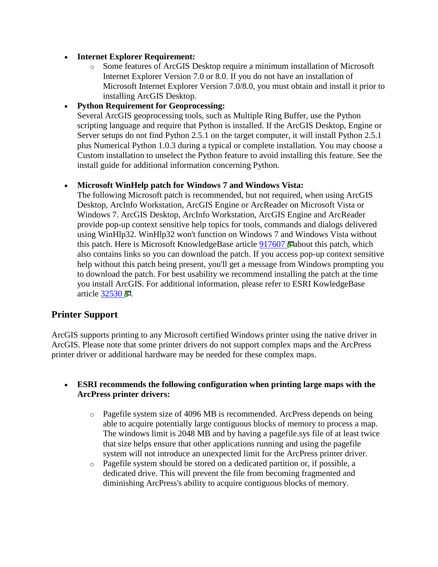#### **Internet Explorer Requirement:**

o Some features of ArcGIS Desktop require a minimum installation of Microsoft Internet Explorer Version 7.0 or 8.0. If you do not have an installation of Microsoft Internet Explorer Version 7.0/8.0, you must obtain and install it prior to installing ArcGIS Desktop.

#### **Python Requirement for Geoprocessing:**

Several ArcGIS geoprocessing tools, such as Multiple Ring Buffer, use the Python scripting language and require that Python is installed. If the ArcGIS Desktop, Engine or Server setups do not find Python 2.5.1 on the target computer, it will install Python 2.5.1 plus Numerical Python 1.0.3 during a typical or complete installation. You may choose a Custom installation to unselect the Python feature to avoid installing this feature. See the install guide for additional information concerning Python.

#### **Microsoft WinHelp patch for Windows 7 and Windows Vista:**

The following Microsoft patch is recommended, but not required, when using ArcGIS Desktop, ArcInfo Workstation, ArcGIS Engine or ArcReader on Microsoft Vista or Windows 7. ArcGIS Desktop, ArcInfo Workstation, ArcGIS Engine and ArcReader provide pop-up context sensitive help topics for tools, commands and dialogs delivered using WinHlp32. WinHlp32 won't function on Windows 7 and Windows Vista without this patch. Here is Microsoft KnowledgeBase article [917607 a](http://support.microsoft.com/kb/917607) about this patch, which also contains links so you can download the patch. If you access pop-up context sensitive help without this patch being present, you'll get a message from Windows prompting you to download the patch. For best usability we recommend installing the patch at the time you install ArcGIS. For additional information, please refer to ESRI KowledgeBase article  $32530$   $\Box$ .

#### **Printer Support**

ArcGIS supports printing to any Microsoft certified Windows printer using the native driver in ArcGIS. Please note that some printer drivers do not support complex maps and the ArcPress printer driver or additional hardware may be needed for these complex maps.

#### **ESRI recommends the following configuration when printing large maps with the ArcPress printer drivers:**

- o Pagefile system size of 4096 MB is recommended. ArcPress depends on being able to acquire potentially large contiguous blocks of memory to process a map. The windows limit is 2048 MB and by having a pagefile.sys file of at least twice that size helps ensure that other applications running and using the pagefile system will not introduce an unexpected limit for the ArcPress printer driver.
- o Pagefile system should be stored on a dedicated partition or, if possible, a dedicated drive. This will prevent the file from becoming fragmented and diminishing ArcPress's ability to acquire contiguous blocks of memory.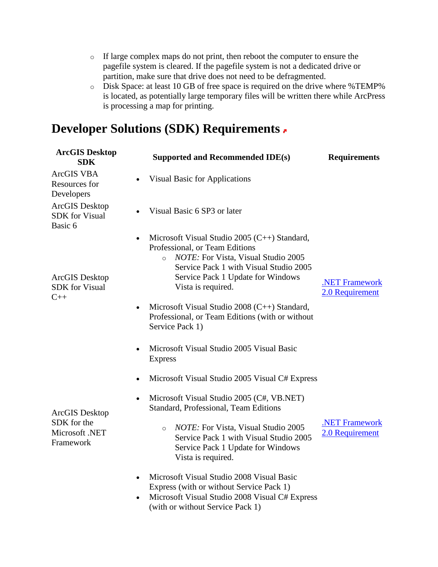- o If large complex maps do not print, then reboot the computer to ensure the pagefile system is cleared. If the pagefile system is not a dedicated drive or partition, make sure that drive does not need to be defragmented.
- o Disk Space: at least 10 GB of free space is required on the drive where %TEMP% is located, as potentially large temporary files will be written there while ArcPress is processing a map for printing.

### **Developer Solutions (SDK) Requirements**

| <b>ArcGIS Desktop</b><br><b>SDK</b>                                                    | <b>Supported and Recommended IDE(s)</b>                                                                                                                                                                                                      | <b>Requirements</b>                      |
|----------------------------------------------------------------------------------------|----------------------------------------------------------------------------------------------------------------------------------------------------------------------------------------------------------------------------------------------|------------------------------------------|
| ArcGIS VBA<br>Resources for<br>Developers                                              | <b>Visual Basic for Applications</b>                                                                                                                                                                                                         |                                          |
| <b>ArcGIS</b> Desktop<br><b>SDK</b> for Visual<br>Basic 6                              | Visual Basic 6 SP3 or later                                                                                                                                                                                                                  |                                          |
| ArcGIS Desktop<br><b>SDK</b> for Visual<br>$C++$                                       | Microsoft Visual Studio 2005 (C++) Standard,<br>Professional, or Team Editions<br><i>NOTE:</i> For Vista, Visual Studio 2005<br>$\circ$<br>Service Pack 1 with Visual Studio 2005<br>Service Pack 1 Update for Windows<br>Vista is required. | <b>.NET Framework</b><br>2.0 Requirement |
|                                                                                        | Microsoft Visual Studio 2008 (C++) Standard,<br>Professional, or Team Editions (with or without<br>Service Pack 1)                                                                                                                           |                                          |
|                                                                                        | Microsoft Visual Studio 2005 Visual Basic<br>$\bullet$<br><b>Express</b>                                                                                                                                                                     |                                          |
| $\bullet$<br>$\bullet$<br>ArcGIS Desktop<br>SDK for the<br>Microsoft .NET<br>Framework | Microsoft Visual Studio 2005 Visual C# Express                                                                                                                                                                                               |                                          |
|                                                                                        | Microsoft Visual Studio 2005 (C#, VB.NET)<br>Standard, Professional, Team Editions                                                                                                                                                           |                                          |
|                                                                                        | NOTE: For Vista, Visual Studio 2005<br>$\circ$<br>Service Pack 1 with Visual Studio 2005<br>Service Pack 1 Update for Windows<br>Vista is required.                                                                                          | <b>NET Framework</b><br>2.0 Requirement  |
|                                                                                        | Microsoft Visual Studio 2008 Visual Basic<br>$\bullet$<br>Express (with or without Service Pack 1)<br>Microsoft Visual Studio 2008 Visual C# Express<br>(with or without Service Pack 1)                                                     |                                          |